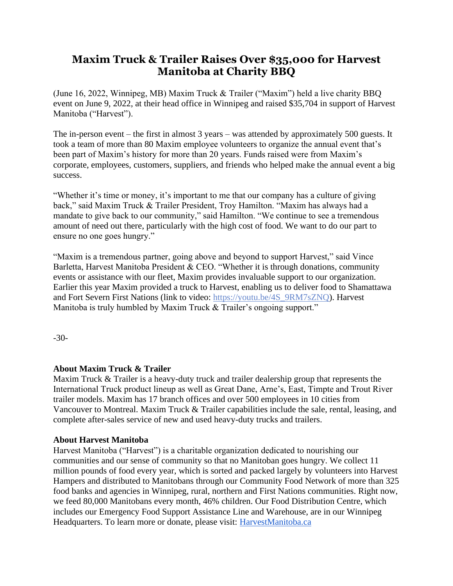## **Maxim Truck & Trailer Raises Over \$35,000 for Harvest Manitoba at Charity BBQ**

(June 16, 2022, Winnipeg, MB) Maxim Truck & Trailer ("Maxim") held a live charity BBQ event on June 9, 2022, at their head office in Winnipeg and raised \$35,704 in support of Harvest Manitoba ("Harvest").

The in-person event – the first in almost 3 years – was attended by approximately 500 guests. It took a team of more than 80 Maxim employee volunteers to organize the annual event that's been part of Maxim's history for more than 20 years. Funds raised were from Maxim's corporate, employees, customers, suppliers, and friends who helped make the annual event a big success.

"Whether it's time or money, it's important to me that our company has a culture of giving back," said Maxim Truck & Trailer President, Troy Hamilton. "Maxim has always had a mandate to give back to our community," said Hamilton. "We continue to see a tremendous amount of need out there, particularly with the high cost of food. We want to do our part to ensure no one goes hungry."

"Maxim is a tremendous partner, going above and beyond to support Harvest," said Vince Barletta, Harvest Manitoba President & CEO. "Whether it is through donations, community events or assistance with our fleet, Maxim provides invaluable support to our organization. Earlier this year Maxim provided a truck to Harvest, enabling us to deliver food to Shamattawa and Fort Severn First Nations (link to video: [https://youtu.be/4S\\_9RM7sZNQ\)](https://youtu.be/4S_9RM7sZNQ). Harvest Manitoba is truly humbled by Maxim Truck & Trailer's ongoing support."

-30-

## **About Maxim Truck & Trailer**

Maxim Truck & Trailer is a heavy-duty truck and trailer dealership group that represents the International Truck product lineup as well as Great Dane, Arne's, East, Timpte and Trout River trailer models. Maxim has 17 branch offices and over 500 employees in 10 cities from Vancouver to Montreal. Maxim Truck & Trailer capabilities include the sale, rental, leasing, and complete after-sales service of new and used heavy-duty trucks and trailers.

## **About Harvest Manitoba**

Harvest Manitoba ("Harvest") is a charitable organization dedicated to nourishing our communities and our sense of community so that no Manitoban goes hungry. We collect 11 million pounds of food every year, which is sorted and packed largely by volunteers into Harvest Hampers and distributed to Manitobans through our Community Food Network of more than 325 food banks and agencies in Winnipeg, rural, northern and First Nations communities. Right now, we feed 80,000 Manitobans every month, 46% children. Our Food Distribution Centre, which includes our Emergency Food Support Assistance Line and Warehouse, are in our Winnipeg Headquarters. To learn more or donate, please visit: [HarvestManitoba.ca](https://www.harvestmanitoba.ca/)